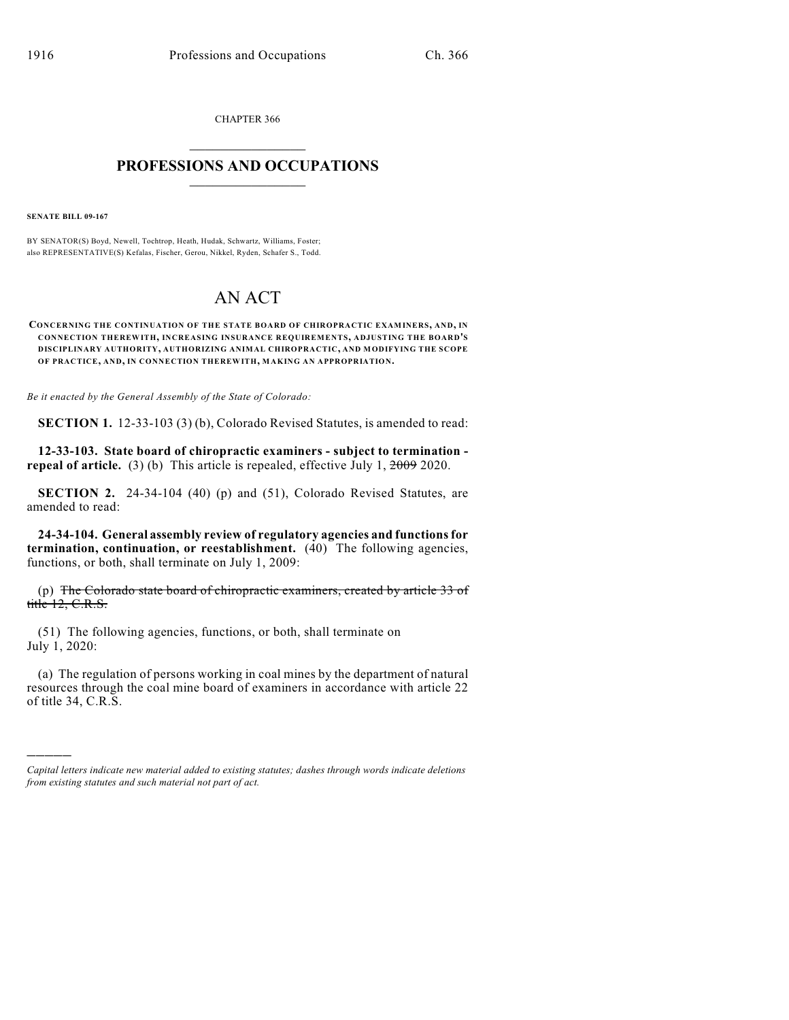CHAPTER 366  $\overline{\phantom{a}}$  . The set of the set of the set of the set of the set of the set of the set of the set of the set of the set of the set of the set of the set of the set of the set of the set of the set of the set of the set o

## **PROFESSIONS AND OCCUPATIONS**  $\frac{1}{2}$  ,  $\frac{1}{2}$  ,  $\frac{1}{2}$  ,  $\frac{1}{2}$  ,  $\frac{1}{2}$  ,  $\frac{1}{2}$

**SENATE BILL 09-167**

)))))

BY SENATOR(S) Boyd, Newell, Tochtrop, Heath, Hudak, Schwartz, Williams, Foster; also REPRESENTATIVE(S) Kefalas, Fischer, Gerou, Nikkel, Ryden, Schafer S., Todd.

## AN ACT

**CONCERNING THE CONTINUATION OF THE STATE BOARD OF CHIROPRACTIC EXAMINERS, AND, IN CONNECTION THEREWITH, INCREASING INSURANCE REQUIREMENTS, ADJUSTING THE BOARD'S DISCIPLINARY AUTHORITY, AUTHORIZING ANIMAL CHIROPRACTIC, AND MODIFYING THE SCOPE OF PRACTICE, AND, IN CONNECTION THEREWITH, MAKING AN APPROPRIATION.**

*Be it enacted by the General Assembly of the State of Colorado:*

**SECTION 1.** 12-33-103 (3) (b), Colorado Revised Statutes, is amended to read:

**12-33-103. State board of chiropractic examiners - subject to termination repeal of article.** (3) (b) This article is repealed, effective July 1,  $\frac{2009}{2020}$ .

**SECTION 2.** 24-34-104 (40) (p) and (51), Colorado Revised Statutes, are amended to read:

**24-34-104. General assembly review of regulatory agencies and functions for termination, continuation, or reestablishment.** (40) The following agencies, functions, or both, shall terminate on July 1, 2009:

(p) The Colorado state board of chiropractic examiners, created by article  $33$  of title 12, C.R.S.

(51) The following agencies, functions, or both, shall terminate on July 1, 2020:

(a) The regulation of persons working in coal mines by the department of natural resources through the coal mine board of examiners in accordance with article 22 of title 34, C.R.S.

*Capital letters indicate new material added to existing statutes; dashes through words indicate deletions from existing statutes and such material not part of act.*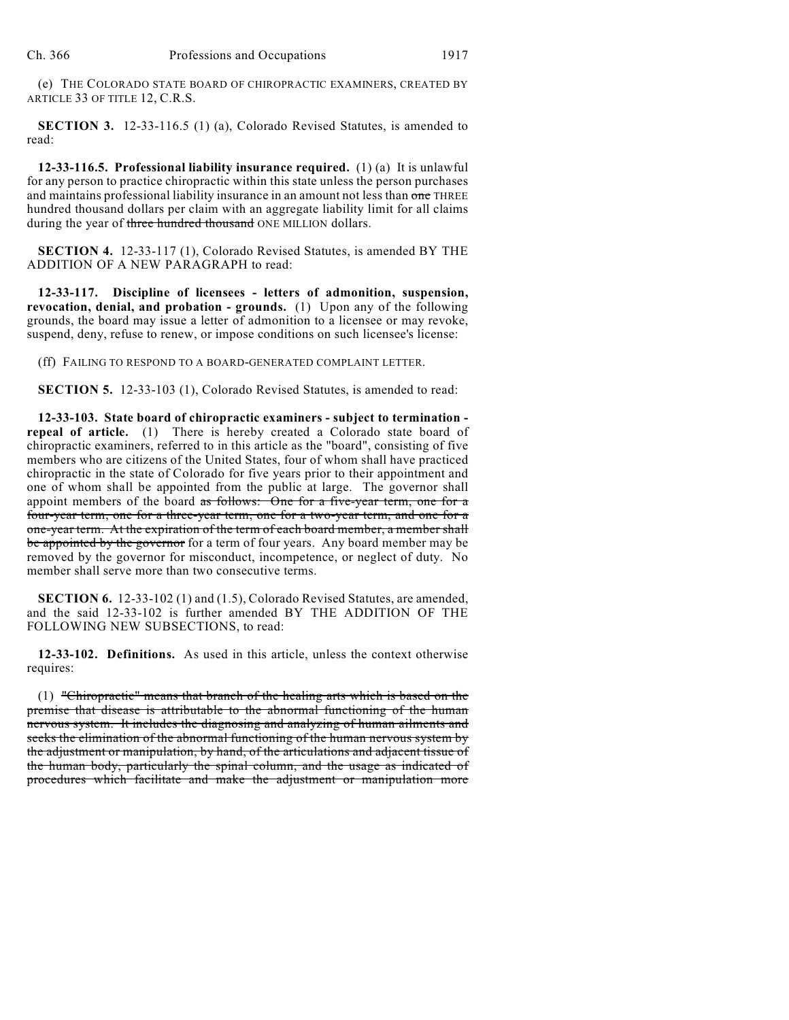(e) THE COLORADO STATE BOARD OF CHIROPRACTIC EXAMINERS, CREATED BY ARTICLE 33 OF TITLE 12, C.R.S.

**SECTION 3.** 12-33-116.5 (1) (a), Colorado Revised Statutes, is amended to read:

**12-33-116.5. Professional liability insurance required.** (1) (a) It is unlawful for any person to practice chiropractic within this state unless the person purchases and maintains professional liability insurance in an amount not less than one THREE hundred thousand dollars per claim with an aggregate liability limit for all claims during the year of three hundred thousand ONE MILLION dollars.

**SECTION 4.** 12-33-117 (1), Colorado Revised Statutes, is amended BY THE ADDITION OF A NEW PARAGRAPH to read:

**12-33-117. Discipline of licensees - letters of admonition, suspension, revocation, denial, and probation - grounds.** (1) Upon any of the following grounds, the board may issue a letter of admonition to a licensee or may revoke, suspend, deny, refuse to renew, or impose conditions on such licensee's license:

(ff) FAILING TO RESPOND TO A BOARD-GENERATED COMPLAINT LETTER.

**SECTION 5.** 12-33-103 (1), Colorado Revised Statutes, is amended to read:

**12-33-103. State board of chiropractic examiners - subject to termination repeal of article.** (1) There is hereby created a Colorado state board of chiropractic examiners, referred to in this article as the "board", consisting of five members who are citizens of the United States, four of whom shall have practiced chiropractic in the state of Colorado for five years prior to their appointment and one of whom shall be appointed from the public at large. The governor shall appoint members of the board as follows: One for a five-year term, one for a four-year term, one for a three-year term, one for a two-year term, and one for a one-year term. At the expiration of the term of each board member, a member shall be appointed by the governor for a term of four years. Any board member may be removed by the governor for misconduct, incompetence, or neglect of duty. No member shall serve more than two consecutive terms.

**SECTION 6.** 12-33-102 (1) and (1.5), Colorado Revised Statutes, are amended, and the said 12-33-102 is further amended BY THE ADDITION OF THE FOLLOWING NEW SUBSECTIONS, to read:

**12-33-102. Definitions.** As used in this article, unless the context otherwise requires:

(1) "Chiropractic" means that branch of the healing arts which is based on the premise that disease is attributable to the abnormal functioning of the human nervous system. It includes the diagnosing and analyzing of human ailments and seeks the elimination of the abnormal functioning of the human nervous system by the adjustment or manipulation, by hand, of the articulations and adjacent tissue of the human body, particularly the spinal column, and the usage as indicated of procedures which facilitate and make the adjustment or manipulation more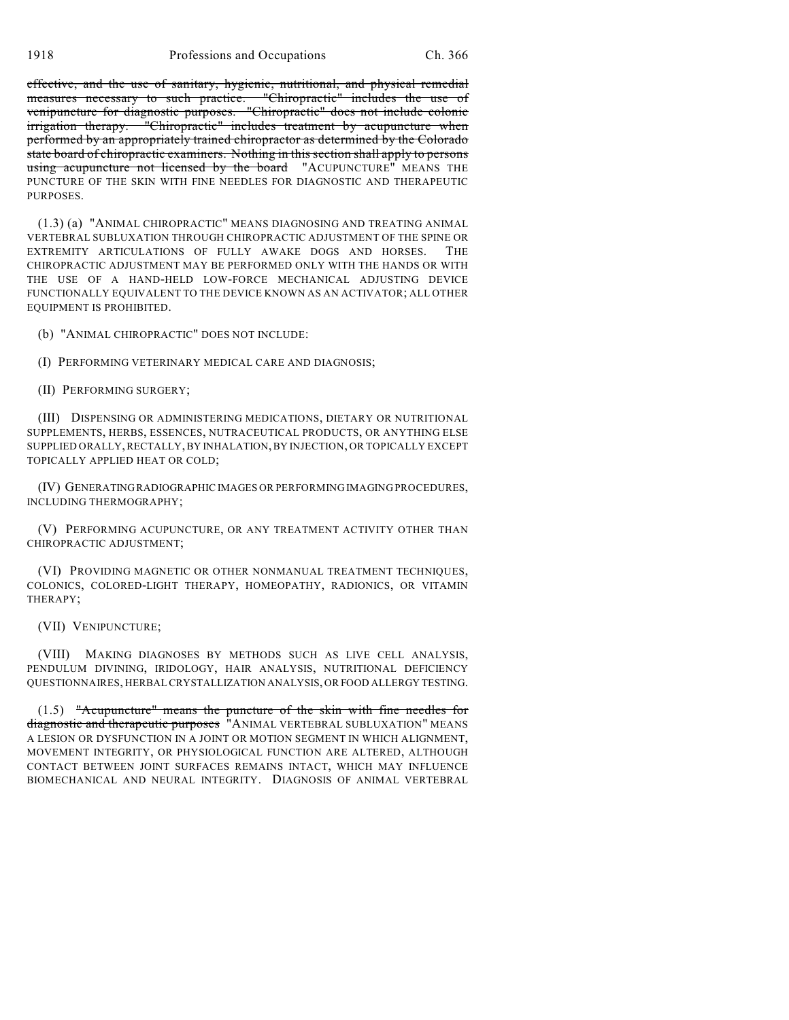1918 Professions and Occupations Ch. 366

effective, and the use of sanitary, hygienic, nutritional, and physical remedial measures necessary to such practice. "Chiropractic" includes the use of venipuncture for diagnostic purposes. "Chiropractic" does not include colonic irrigation therapy. "Chiropractic" includes treatment by acupuncture when performed by an appropriately trained chiropractor as determined by the Colorado state board of chiropractic examiners. Nothing in this section shall apply to persons using acupuncture not licensed by the board "ACUPUNCTURE" MEANS THE PUNCTURE OF THE SKIN WITH FINE NEEDLES FOR DIAGNOSTIC AND THERAPEUTIC PURPOSES.

(1.3) (a) "ANIMAL CHIROPRACTIC" MEANS DIAGNOSING AND TREATING ANIMAL VERTEBRAL SUBLUXATION THROUGH CHIROPRACTIC ADJUSTMENT OF THE SPINE OR EXTREMITY ARTICULATIONS OF FULLY AWAKE DOGS AND HORSES. THE CHIROPRACTIC ADJUSTMENT MAY BE PERFORMED ONLY WITH THE HANDS OR WITH THE USE OF A HAND-HELD LOW-FORCE MECHANICAL ADJUSTING DEVICE FUNCTIONALLY EQUIVALENT TO THE DEVICE KNOWN AS AN ACTIVATOR; ALL OTHER EQUIPMENT IS PROHIBITED.

(b) "ANIMAL CHIROPRACTIC" DOES NOT INCLUDE:

(I) PERFORMING VETERINARY MEDICAL CARE AND DIAGNOSIS;

(II) PERFORMING SURGERY;

(III) DISPENSING OR ADMINISTERING MEDICATIONS, DIETARY OR NUTRITIONAL SUPPLEMENTS, HERBS, ESSENCES, NUTRACEUTICAL PRODUCTS, OR ANYTHING ELSE SUPPLIED ORALLY, RECTALLY, BY INHALATION, BY INJECTION, OR TOPICALLY EXCEPT TOPICALLY APPLIED HEAT OR COLD;

(IV) GENERATING RADIOGRAPHIC IMAGES OR PERFORMING IMAGING PROCEDURES, INCLUDING THERMOGRAPHY;

(V) PERFORMING ACUPUNCTURE, OR ANY TREATMENT ACTIVITY OTHER THAN CHIROPRACTIC ADJUSTMENT;

(VI) PROVIDING MAGNETIC OR OTHER NONMANUAL TREATMENT TECHNIQUES, COLONICS, COLORED-LIGHT THERAPY, HOMEOPATHY, RADIONICS, OR VITAMIN THERAPY;

(VII) VENIPUNCTURE;

(VIII) MAKING DIAGNOSES BY METHODS SUCH AS LIVE CELL ANALYSIS, PENDULUM DIVINING, IRIDOLOGY, HAIR ANALYSIS, NUTRITIONAL DEFICIENCY QUESTIONNAIRES, HERBAL CRYSTALLIZATION ANALYSIS, OR FOOD ALLERGY TESTING.

(1.5) "Acupuncture" means the puncture of the skin with fine needles for diagnostic and therapeutic purposes "ANIMAL VERTEBRAL SUBLUXATION" MEANS A LESION OR DYSFUNCTION IN A JOINT OR MOTION SEGMENT IN WHICH ALIGNMENT, MOVEMENT INTEGRITY, OR PHYSIOLOGICAL FUNCTION ARE ALTERED, ALTHOUGH CONTACT BETWEEN JOINT SURFACES REMAINS INTACT, WHICH MAY INFLUENCE BIOMECHANICAL AND NEURAL INTEGRITY. DIAGNOSIS OF ANIMAL VERTEBRAL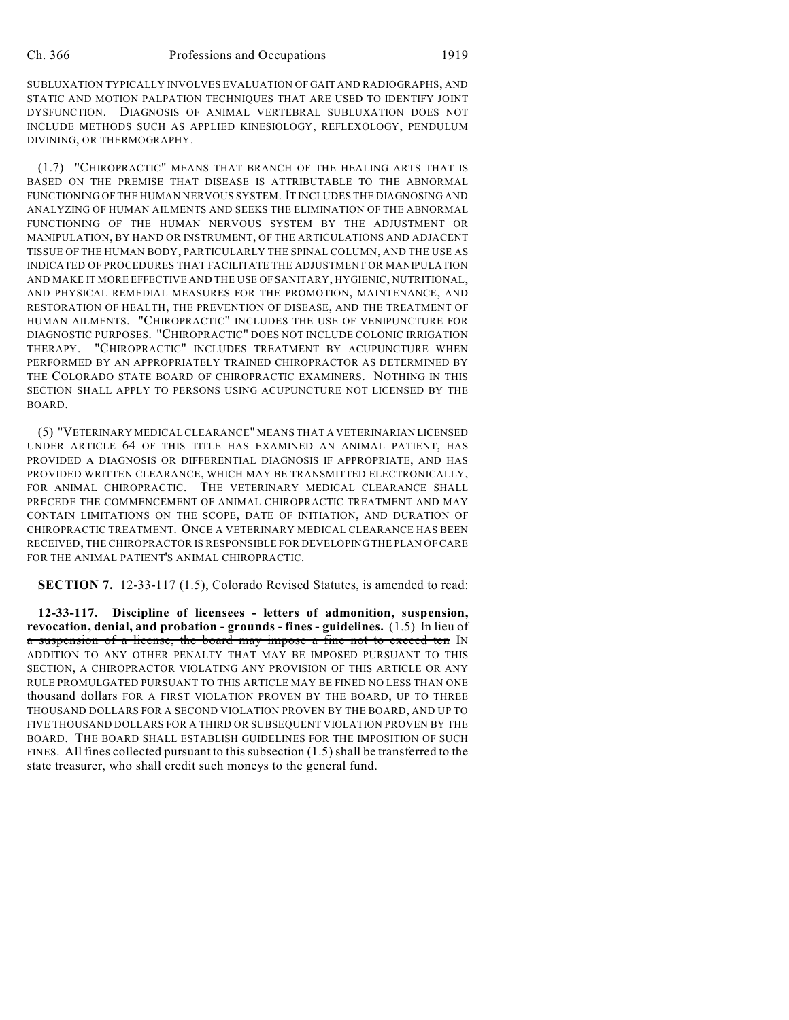SUBLUXATION TYPICALLY INVOLVES EVALUATION OF GAIT AND RADIOGRAPHS, AND STATIC AND MOTION PALPATION TECHNIQUES THAT ARE USED TO IDENTIFY JOINT DYSFUNCTION. DIAGNOSIS OF ANIMAL VERTEBRAL SUBLUXATION DOES NOT INCLUDE METHODS SUCH AS APPLIED KINESIOLOGY, REFLEXOLOGY, PENDULUM DIVINING, OR THERMOGRAPHY.

(1.7) "CHIROPRACTIC" MEANS THAT BRANCH OF THE HEALING ARTS THAT IS BASED ON THE PREMISE THAT DISEASE IS ATTRIBUTABLE TO THE ABNORMAL FUNCTIONING OF THE HUMAN NERVOUS SYSTEM. IT INCLUDES THE DIAGNOSING AND ANALYZING OF HUMAN AILMENTS AND SEEKS THE ELIMINATION OF THE ABNORMAL FUNCTIONING OF THE HUMAN NERVOUS SYSTEM BY THE ADJUSTMENT OR MANIPULATION, BY HAND OR INSTRUMENT, OF THE ARTICULATIONS AND ADJACENT TISSUE OF THE HUMAN BODY, PARTICULARLY THE SPINAL COLUMN, AND THE USE AS INDICATED OF PROCEDURES THAT FACILITATE THE ADJUSTMENT OR MANIPULATION AND MAKE IT MORE EFFECTIVE AND THE USE OF SANITARY, HYGIENIC, NUTRITIONAL, AND PHYSICAL REMEDIAL MEASURES FOR THE PROMOTION, MAINTENANCE, AND RESTORATION OF HEALTH, THE PREVENTION OF DISEASE, AND THE TREATMENT OF HUMAN AILMENTS. "CHIROPRACTIC" INCLUDES THE USE OF VENIPUNCTURE FOR DIAGNOSTIC PURPOSES. "CHIROPRACTIC" DOES NOT INCLUDE COLONIC IRRIGATION THERAPY. "CHIROPRACTIC" INCLUDES TREATMENT BY ACUPUNCTURE WHEN PERFORMED BY AN APPROPRIATELY TRAINED CHIROPRACTOR AS DETERMINED BY THE COLORADO STATE BOARD OF CHIROPRACTIC EXAMINERS. NOTHING IN THIS SECTION SHALL APPLY TO PERSONS USING ACUPUNCTURE NOT LICENSED BY THE BOARD.

(5) "VETERINARY MEDICAL CLEARANCE" MEANS THAT A VETERINARIAN LICENSED UNDER ARTICLE 64 OF THIS TITLE HAS EXAMINED AN ANIMAL PATIENT, HAS PROVIDED A DIAGNOSIS OR DIFFERENTIAL DIAGNOSIS IF APPROPRIATE, AND HAS PROVIDED WRITTEN CLEARANCE, WHICH MAY BE TRANSMITTED ELECTRONICALLY, FOR ANIMAL CHIROPRACTIC. THE VETERINARY MEDICAL CLEARANCE SHALL PRECEDE THE COMMENCEMENT OF ANIMAL CHIROPRACTIC TREATMENT AND MAY CONTAIN LIMITATIONS ON THE SCOPE, DATE OF INITIATION, AND DURATION OF CHIROPRACTIC TREATMENT. ONCE A VETERINARY MEDICAL CLEARANCE HAS BEEN RECEIVED, THE CHIROPRACTOR IS RESPONSIBLE FOR DEVELOPING THE PLAN OF CARE FOR THE ANIMAL PATIENT'S ANIMAL CHIROPRACTIC.

**SECTION 7.** 12-33-117 (1.5), Colorado Revised Statutes, is amended to read:

**12-33-117. Discipline of licensees - letters of admonition, suspension, revocation, denial, and probation - grounds - fines - guidelines.** (1.5) In lieu of a suspension of a license, the board may impose a fine not to exceed ten IN ADDITION TO ANY OTHER PENALTY THAT MAY BE IMPOSED PURSUANT TO THIS SECTION, A CHIROPRACTOR VIOLATING ANY PROVISION OF THIS ARTICLE OR ANY RULE PROMULGATED PURSUANT TO THIS ARTICLE MAY BE FINED NO LESS THAN ONE thousand dollars FOR A FIRST VIOLATION PROVEN BY THE BOARD, UP TO THREE THOUSAND DOLLARS FOR A SECOND VIOLATION PROVEN BY THE BOARD, AND UP TO FIVE THOUSAND DOLLARS FOR A THIRD OR SUBSEQUENT VIOLATION PROVEN BY THE BOARD. THE BOARD SHALL ESTABLISH GUIDELINES FOR THE IMPOSITION OF SUCH FINES. All fines collected pursuant to this subsection (1.5) shall be transferred to the state treasurer, who shall credit such moneys to the general fund.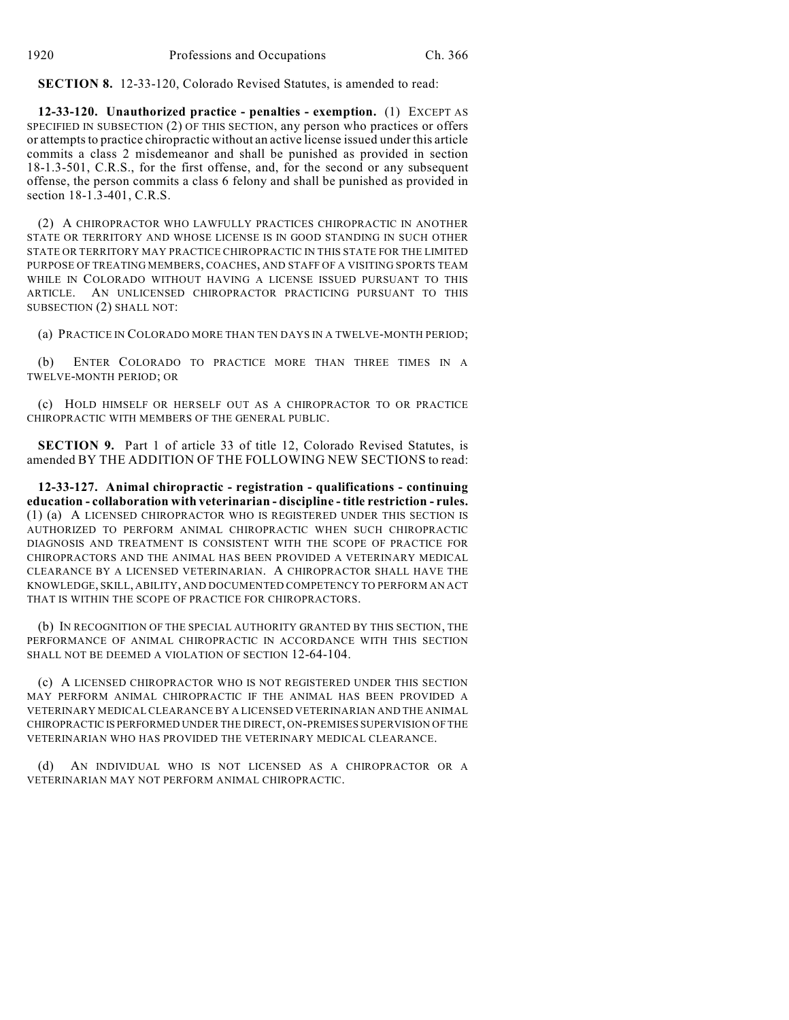**SECTION 8.** 12-33-120, Colorado Revised Statutes, is amended to read:

**12-33-120. Unauthorized practice - penalties - exemption.** (1) EXCEPT AS SPECIFIED IN SUBSECTION (2) OF THIS SECTION, any person who practices or offers or attempts to practice chiropractic without an active license issued under this article commits a class 2 misdemeanor and shall be punished as provided in section 18-1.3-501, C.R.S., for the first offense, and, for the second or any subsequent offense, the person commits a class 6 felony and shall be punished as provided in section 18-1.3-401, C.R.S.

(2) A CHIROPRACTOR WHO LAWFULLY PRACTICES CHIROPRACTIC IN ANOTHER STATE OR TERRITORY AND WHOSE LICENSE IS IN GOOD STANDING IN SUCH OTHER STATE OR TERRITORY MAY PRACTICE CHIROPRACTIC IN THIS STATE FOR THE LIMITED PURPOSE OF TREATING MEMBERS, COACHES, AND STAFF OF A VISITING SPORTS TEAM WHILE IN COLORADO WITHOUT HAVING A LICENSE ISSUED PURSUANT TO THIS ARTICLE. AN UNLICENSED CHIROPRACTOR PRACTICING PURSUANT TO THIS SUBSECTION (2) SHALL NOT:

(a) PRACTICE IN COLORADO MORE THAN TEN DAYS IN A TWELVE-MONTH PERIOD;

(b) ENTER COLORADO TO PRACTICE MORE THAN THREE TIMES IN A TWELVE-MONTH PERIOD; OR

(c) HOLD HIMSELF OR HERSELF OUT AS A CHIROPRACTOR TO OR PRACTICE CHIROPRACTIC WITH MEMBERS OF THE GENERAL PUBLIC.

**SECTION 9.** Part 1 of article 33 of title 12, Colorado Revised Statutes, is amended BY THE ADDITION OF THE FOLLOWING NEW SECTIONS to read:

**12-33-127. Animal chiropractic - registration - qualifications - continuing education - collaboration with veterinarian - discipline - title restriction - rules.** (1) (a) A LICENSED CHIROPRACTOR WHO IS REGISTERED UNDER THIS SECTION IS AUTHORIZED TO PERFORM ANIMAL CHIROPRACTIC WHEN SUCH CHIROPRACTIC DIAGNOSIS AND TREATMENT IS CONSISTENT WITH THE SCOPE OF PRACTICE FOR CHIROPRACTORS AND THE ANIMAL HAS BEEN PROVIDED A VETERINARY MEDICAL CLEARANCE BY A LICENSED VETERINARIAN. A CHIROPRACTOR SHALL HAVE THE KNOWLEDGE, SKILL, ABILITY, AND DOCUMENTED COMPETENCY TO PERFORM AN ACT THAT IS WITHIN THE SCOPE OF PRACTICE FOR CHIROPRACTORS.

(b) IN RECOGNITION OF THE SPECIAL AUTHORITY GRANTED BY THIS SECTION, THE PERFORMANCE OF ANIMAL CHIROPRACTIC IN ACCORDANCE WITH THIS SECTION SHALL NOT BE DEEMED A VIOLATION OF SECTION 12-64-104.

(c) A LICENSED CHIROPRACTOR WHO IS NOT REGISTERED UNDER THIS SECTION MAY PERFORM ANIMAL CHIROPRACTIC IF THE ANIMAL HAS BEEN PROVIDED A VETERINARY MEDICAL CLEARANCE BY A LICENSED VETERINARIAN AND THE ANIMAL CHIROPRACTIC IS PERFORMED UNDER THE DIRECT, ON-PREMISES SUPERVISION OF THE VETERINARIAN WHO HAS PROVIDED THE VETERINARY MEDICAL CLEARANCE.

(d) AN INDIVIDUAL WHO IS NOT LICENSED AS A CHIROPRACTOR OR A VETERINARIAN MAY NOT PERFORM ANIMAL CHIROPRACTIC.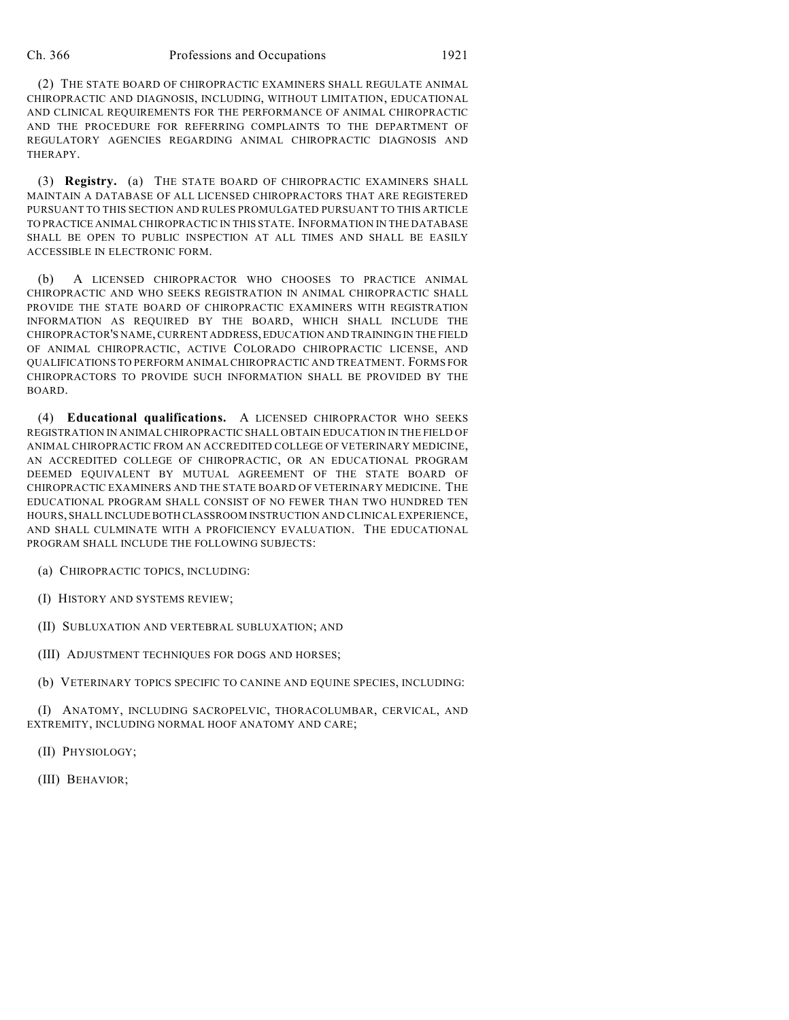(2) THE STATE BOARD OF CHIROPRACTIC EXAMINERS SHALL REGULATE ANIMAL CHIROPRACTIC AND DIAGNOSIS, INCLUDING, WITHOUT LIMITATION, EDUCATIONAL AND CLINICAL REQUIREMENTS FOR THE PERFORMANCE OF ANIMAL CHIROPRACTIC AND THE PROCEDURE FOR REFERRING COMPLAINTS TO THE DEPARTMENT OF REGULATORY AGENCIES REGARDING ANIMAL CHIROPRACTIC DIAGNOSIS AND THERAPY.

(3) **Registry.** (a) THE STATE BOARD OF CHIROPRACTIC EXAMINERS SHALL MAINTAIN A DATABASE OF ALL LICENSED CHIROPRACTORS THAT ARE REGISTERED PURSUANT TO THIS SECTION AND RULES PROMULGATED PURSUANT TO THIS ARTICLE TO PRACTICE ANIMAL CHIROPRACTIC IN THIS STATE. INFORMATION IN THE DATABASE SHALL BE OPEN TO PUBLIC INSPECTION AT ALL TIMES AND SHALL BE EASILY ACCESSIBLE IN ELECTRONIC FORM.

(b) A LICENSED CHIROPRACTOR WHO CHOOSES TO PRACTICE ANIMAL CHIROPRACTIC AND WHO SEEKS REGISTRATION IN ANIMAL CHIROPRACTIC SHALL PROVIDE THE STATE BOARD OF CHIROPRACTIC EXAMINERS WITH REGISTRATION INFORMATION AS REQUIRED BY THE BOARD, WHICH SHALL INCLUDE THE CHIROPRACTOR'S NAME, CURRENT ADDRESS, EDUCATION AND TRAINING IN THE FIELD OF ANIMAL CHIROPRACTIC, ACTIVE COLORADO CHIROPRACTIC LICENSE, AND QUALIFICATIONS TO PERFORM ANIMAL CHIROPRACTIC AND TREATMENT. FORMS FOR CHIROPRACTORS TO PROVIDE SUCH INFORMATION SHALL BE PROVIDED BY THE BOARD.

(4) **Educational qualifications.** A LICENSED CHIROPRACTOR WHO SEEKS REGISTRATION IN ANIMAL CHIROPRACTIC SHALL OBTAIN EDUCATION IN THE FIELD OF ANIMAL CHIROPRACTIC FROM AN ACCREDITED COLLEGE OF VETERINARY MEDICINE, AN ACCREDITED COLLEGE OF CHIROPRACTIC, OR AN EDUCATIONAL PROGRAM DEEMED EQUIVALENT BY MUTUAL AGREEMENT OF THE STATE BOARD OF CHIROPRACTIC EXAMINERS AND THE STATE BOARD OF VETERINARY MEDICINE. THE EDUCATIONAL PROGRAM SHALL CONSIST OF NO FEWER THAN TWO HUNDRED TEN HOURS, SHALL INCLUDE BOTH CLASSROOM INSTRUCTION AND CLINICAL EXPERIENCE, AND SHALL CULMINATE WITH A PROFICIENCY EVALUATION. THE EDUCATIONAL PROGRAM SHALL INCLUDE THE FOLLOWING SUBJECTS:

(a) CHIROPRACTIC TOPICS, INCLUDING:

(I) HISTORY AND SYSTEMS REVIEW;

(II) SUBLUXATION AND VERTEBRAL SUBLUXATION; AND

(III) ADJUSTMENT TECHNIQUES FOR DOGS AND HORSES;

(b) VETERINARY TOPICS SPECIFIC TO CANINE AND EQUINE SPECIES, INCLUDING:

(I) ANATOMY, INCLUDING SACROPELVIC, THORACOLUMBAR, CERVICAL, AND EXTREMITY, INCLUDING NORMAL HOOF ANATOMY AND CARE;

(II) PHYSIOLOGY;

(III) BEHAVIOR;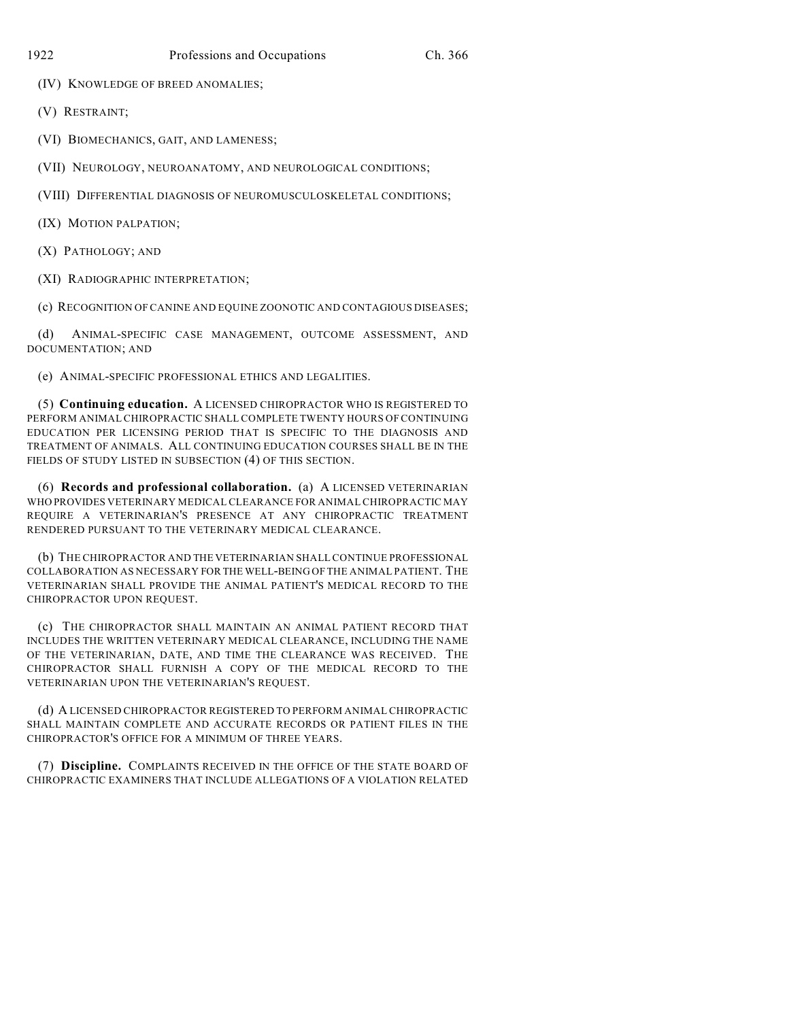(IV) KNOWLEDGE OF BREED ANOMALIES;

(V) RESTRAINT;

(VI) BIOMECHANICS, GAIT, AND LAMENESS;

(VII) NEUROLOGY, NEUROANATOMY, AND NEUROLOGICAL CONDITIONS;

(VIII) DIFFERENTIAL DIAGNOSIS OF NEUROMUSCULOSKELETAL CONDITIONS;

(IX) MOTION PALPATION;

(X) PATHOLOGY; AND

(XI) RADIOGRAPHIC INTERPRETATION;

(c) RECOGNITION OF CANINE AND EQUINE ZOONOTIC AND CONTAGIOUS DISEASES;

(d) ANIMAL-SPECIFIC CASE MANAGEMENT, OUTCOME ASSESSMENT, AND DOCUMENTATION; AND

(e) ANIMAL-SPECIFIC PROFESSIONAL ETHICS AND LEGALITIES.

(5) **Continuing education.** A LICENSED CHIROPRACTOR WHO IS REGISTERED TO PERFORM ANIMAL CHIROPRACTIC SHALL COMPLETE TWENTY HOURS OF CONTINUING EDUCATION PER LICENSING PERIOD THAT IS SPECIFIC TO THE DIAGNOSIS AND TREATMENT OF ANIMALS. ALL CONTINUING EDUCATION COURSES SHALL BE IN THE FIELDS OF STUDY LISTED IN SUBSECTION (4) OF THIS SECTION.

(6) **Records and professional collaboration.** (a) A LICENSED VETERINARIAN WHO PROVIDES VETERINARY MEDICAL CLEARANCE FOR ANIMAL CHIROPRACTIC MAY REQUIRE A VETERINARIAN'S PRESENCE AT ANY CHIROPRACTIC TREATMENT RENDERED PURSUANT TO THE VETERINARY MEDICAL CLEARANCE.

(b) THE CHIROPRACTOR AND THE VETERINARIAN SHALL CONTINUE PROFESSIONAL COLLABORATION AS NECESSARY FOR THE WELL-BEING OF THE ANIMAL PATIENT. THE VETERINARIAN SHALL PROVIDE THE ANIMAL PATIENT'S MEDICAL RECORD TO THE CHIROPRACTOR UPON REQUEST.

(c) THE CHIROPRACTOR SHALL MAINTAIN AN ANIMAL PATIENT RECORD THAT INCLUDES THE WRITTEN VETERINARY MEDICAL CLEARANCE, INCLUDING THE NAME OF THE VETERINARIAN, DATE, AND TIME THE CLEARANCE WAS RECEIVED. THE CHIROPRACTOR SHALL FURNISH A COPY OF THE MEDICAL RECORD TO THE VETERINARIAN UPON THE VETERINARIAN'S REQUEST.

(d) A LICENSED CHIROPRACTOR REGISTERED TO PERFORM ANIMAL CHIROPRACTIC SHALL MAINTAIN COMPLETE AND ACCURATE RECORDS OR PATIENT FILES IN THE CHIROPRACTOR'S OFFICE FOR A MINIMUM OF THREE YEARS.

(7) **Discipline.** COMPLAINTS RECEIVED IN THE OFFICE OF THE STATE BOARD OF CHIROPRACTIC EXAMINERS THAT INCLUDE ALLEGATIONS OF A VIOLATION RELATED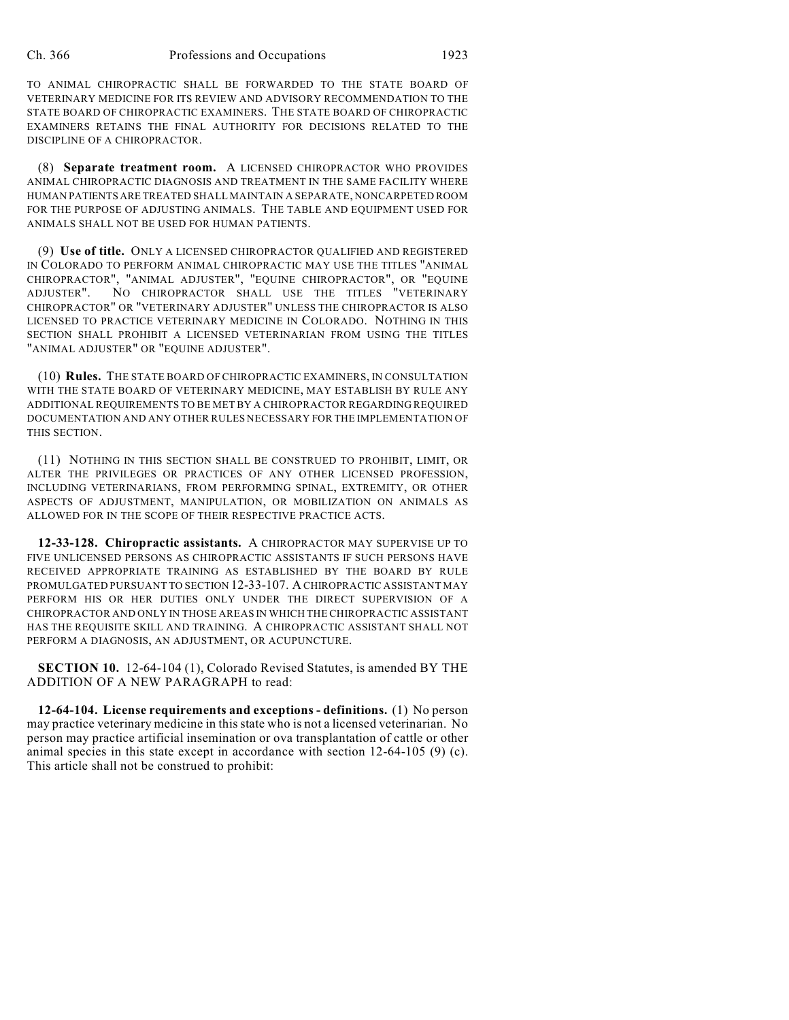TO ANIMAL CHIROPRACTIC SHALL BE FORWARDED TO THE STATE BOARD OF VETERINARY MEDICINE FOR ITS REVIEW AND ADVISORY RECOMMENDATION TO THE STATE BOARD OF CHIROPRACTIC EXAMINERS. THE STATE BOARD OF CHIROPRACTIC EXAMINERS RETAINS THE FINAL AUTHORITY FOR DECISIONS RELATED TO THE DISCIPLINE OF A CHIROPRACTOR.

(8) **Separate treatment room.** A LICENSED CHIROPRACTOR WHO PROVIDES ANIMAL CHIROPRACTIC DIAGNOSIS AND TREATMENT IN THE SAME FACILITY WHERE HUMAN PATIENTS ARE TREATED SHALL MAINTAIN A SEPARATE, NONCARPETED ROOM FOR THE PURPOSE OF ADJUSTING ANIMALS. THE TABLE AND EQUIPMENT USED FOR ANIMALS SHALL NOT BE USED FOR HUMAN PATIENTS.

(9) **Use of title.** ONLY A LICENSED CHIROPRACTOR QUALIFIED AND REGISTERED IN COLORADO TO PERFORM ANIMAL CHIROPRACTIC MAY USE THE TITLES "ANIMAL CHIROPRACTOR", "ANIMAL ADJUSTER", "EQUINE CHIROPRACTOR", OR "EQUINE ADJUSTER". NO CHIROPRACTOR SHALL USE THE TITLES "VETERINARY CHIROPRACTOR" OR "VETERINARY ADJUSTER" UNLESS THE CHIROPRACTOR IS ALSO LICENSED TO PRACTICE VETERINARY MEDICINE IN COLORADO. NOTHING IN THIS SECTION SHALL PROHIBIT A LICENSED VETERINARIAN FROM USING THE TITLES "ANIMAL ADJUSTER" OR "EQUINE ADJUSTER".

(10) **Rules.** THE STATE BOARD OF CHIROPRACTIC EXAMINERS, IN CONSULTATION WITH THE STATE BOARD OF VETERINARY MEDICINE, MAY ESTABLISH BY RULE ANY ADDITIONAL REQUIREMENTS TO BE MET BY A CHIROPRACTOR REGARDING REQUIRED DOCUMENTATION AND ANY OTHER RULES NECESSARY FOR THE IMPLEMENTATION OF THIS SECTION.

(11) NOTHING IN THIS SECTION SHALL BE CONSTRUED TO PROHIBIT, LIMIT, OR ALTER THE PRIVILEGES OR PRACTICES OF ANY OTHER LICENSED PROFESSION, INCLUDING VETERINARIANS, FROM PERFORMING SPINAL, EXTREMITY, OR OTHER ASPECTS OF ADJUSTMENT, MANIPULATION, OR MOBILIZATION ON ANIMALS AS ALLOWED FOR IN THE SCOPE OF THEIR RESPECTIVE PRACTICE ACTS.

**12-33-128. Chiropractic assistants.** A CHIROPRACTOR MAY SUPERVISE UP TO FIVE UNLICENSED PERSONS AS CHIROPRACTIC ASSISTANTS IF SUCH PERSONS HAVE RECEIVED APPROPRIATE TRAINING AS ESTABLISHED BY THE BOARD BY RULE PROMULGATED PURSUANT TO SECTION 12-33-107. A CHIROPRACTIC ASSISTANT MAY PERFORM HIS OR HER DUTIES ONLY UNDER THE DIRECT SUPERVISION OF A CHIROPRACTOR AND ONLY IN THOSE AREAS IN WHICH THE CHIROPRACTIC ASSISTANT HAS THE REQUISITE SKILL AND TRAINING. A CHIROPRACTIC ASSISTANT SHALL NOT PERFORM A DIAGNOSIS, AN ADJUSTMENT, OR ACUPUNCTURE.

**SECTION 10.** 12-64-104 (1), Colorado Revised Statutes, is amended BY THE ADDITION OF A NEW PARAGRAPH to read:

**12-64-104. License requirements and exceptions - definitions.** (1) No person may practice veterinary medicine in this state who is not a licensed veterinarian. No person may practice artificial insemination or ova transplantation of cattle or other animal species in this state except in accordance with section  $12-64-105$  (9) (c). This article shall not be construed to prohibit: